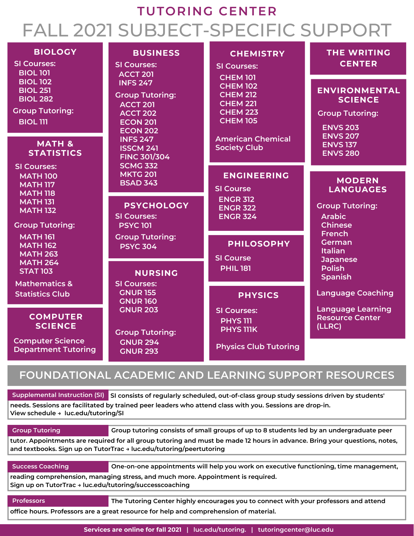# **TUTORING CENTER** FALL 2021 SUBJECT-SPECIFIC SUPPORT

| <b>BIOLOGY</b><br><b>SI Courses:</b><br><b>BIOL 101</b><br><b>BIOL 102</b>                                                                                                                                              | <b>BUSINESS</b><br><b>SI Courses:</b><br><b>ACCT 201</b><br><b>INFS 247</b><br><b>Group Tutoring:</b><br><b>ACCT 201</b><br><b>ACCT 202</b><br><b>ECON 201</b><br><b>ECON 202</b><br><b>INFS 247</b><br><b>ISSCM 241</b><br><b>FINC 301/304</b><br><b>SCMG 332</b><br><b>MKTG 201</b><br><b>BSAD 343</b> | <b>CHEMISTRY</b><br><b>SI Courses:</b><br><b>CHEM 101</b><br><b>CHEM 102</b><br><b>CHEM 212</b><br><b>CHEM 221</b><br><b>CHEM 223</b><br><b>CHEM 105</b><br><b>American Chemical</b><br><b>Society Club</b> | <b>THE WRITING</b><br><b>CENTER</b>                                                                                                                          |
|-------------------------------------------------------------------------------------------------------------------------------------------------------------------------------------------------------------------------|----------------------------------------------------------------------------------------------------------------------------------------------------------------------------------------------------------------------------------------------------------------------------------------------------------|-------------------------------------------------------------------------------------------------------------------------------------------------------------------------------------------------------------|--------------------------------------------------------------------------------------------------------------------------------------------------------------|
| <b>BIOL 251</b><br><b>BIOL 282</b><br><b>Group Tutoring:</b><br><b>BIOL III</b>                                                                                                                                         |                                                                                                                                                                                                                                                                                                          |                                                                                                                                                                                                             | <b>ENVIRONMENTAL</b><br><b>SCIENCE</b><br><b>Group Tutoring:</b><br><b>ENVS 203</b><br><b>ENVS 207</b><br><b>ENVS 137</b><br><b>ENVS 280</b>                 |
| <b>MATH &amp;</b><br><b>STATISTICS</b>                                                                                                                                                                                  |                                                                                                                                                                                                                                                                                                          |                                                                                                                                                                                                             |                                                                                                                                                              |
| <b>SI Courses:</b><br><b>MATH 100</b><br><b>MATH 117</b><br><b>MATH 118</b><br><b>MATH 131</b><br><b>MATH 132</b><br><b>Group Tutoring:</b><br><b>MATH 161</b><br><b>MATH 162</b><br><b>MATH 263</b><br><b>MATH 264</b> |                                                                                                                                                                                                                                                                                                          | <b>ENGINEERING</b><br><b>SI Course</b><br><b>ENGR 312</b><br><b>ENGR 322</b><br><b>ENGR 324</b>                                                                                                             | <b>MODERN</b><br><b>LANGUAGES</b>                                                                                                                            |
|                                                                                                                                                                                                                         | <b>PSYCHOLOGY</b><br><b>SI Courses:</b><br><b>PSYC 101</b>                                                                                                                                                                                                                                               |                                                                                                                                                                                                             | <b>Group Tutoring:</b><br><b>Arabic</b><br><b>Chinese</b><br><b>French</b><br>German<br><b>Italian</b><br><b>Japanese</b><br><b>Polish</b><br><b>Spanish</b> |
|                                                                                                                                                                                                                         | <b>Group Tutoring:</b><br><b>PSYC 304</b><br><b>NURSING</b><br><b>SI Courses:</b>                                                                                                                                                                                                                        | <b>PHILOSOPHY</b><br><b>SI Course</b><br><b>PHIL 181</b>                                                                                                                                                    |                                                                                                                                                              |
| <b>STAT 103</b><br><b>Mathematics &amp;</b>                                                                                                                                                                             |                                                                                                                                                                                                                                                                                                          |                                                                                                                                                                                                             |                                                                                                                                                              |
| <b>Statistics Club</b>                                                                                                                                                                                                  | <b>GNUR 155</b><br><b>GNUR 160</b>                                                                                                                                                                                                                                                                       | <b>PHYSICS</b>                                                                                                                                                                                              | <b>Language Coaching</b>                                                                                                                                     |
| <b>COMPUTER</b><br><b>SCIENCE</b><br><b>Computer Science</b><br><b>Department Tutoring</b>                                                                                                                              | <b>GNUR 203</b><br><b>Group Tutoring:</b><br><b>GNUR 294</b><br><b>GNUR 293</b>                                                                                                                                                                                                                          | <b>SI Courses:</b><br><b>PHYS 111</b><br><b>PHYS IIIK</b><br><b>Physics Club Tutoring</b>                                                                                                                   | <b>Language Learning</b><br><b>Resource Center</b><br>(LLRC)                                                                                                 |
|                                                                                                                                                                                                                         |                                                                                                                                                                                                                                                                                                          |                                                                                                                                                                                                             |                                                                                                                                                              |

### **FOUNDATIONAL ACADEMIC AND LEARNING SUPPORT RESOURCES**

**Supplemental Instruction (SI) SI consists of regularly scheduled, out-of-class group study sessions driven by students' needs. Sessions are facilitated by trained peer leaders who attend class with you. Sessions are drop-in. View schedule → luc.edu/tutoring/SI**

| <b>Group Tutoring</b>                                                                                                                                                                             | Group tutoring consists of small groups of up to 8 students led by an undergraduate peer |  |  |
|---------------------------------------------------------------------------------------------------------------------------------------------------------------------------------------------------|------------------------------------------------------------------------------------------|--|--|
| tutor. Appointments are required for all group tutoring and must be made 12 hours in advance. Bring your questions, notes,<br>and textbooks. Sign up on TutorTrac → luc.edu/tutoring/peertutoring |                                                                                          |  |  |
|                                                                                                                                                                                                   |                                                                                          |  |  |
| <b>Success Coaching</b>                                                                                                                                                                           | One-on-one appointments will help you work on executive functioning, time management,    |  |  |
| reading comprehension, managing stress, and much more. Appointment is required.<br>Sign up on TutorTrac → luc.edu/tutoring/successcoaching                                                        |                                                                                          |  |  |
|                                                                                                                                                                                                   |                                                                                          |  |  |
| <b>Professors</b>                                                                                                                                                                                 | The Tutoring Center highly encourages you to connect with your professors and attend     |  |  |
| office hours. Professors are a great resource for help and comprehension of material.                                                                                                             |                                                                                          |  |  |